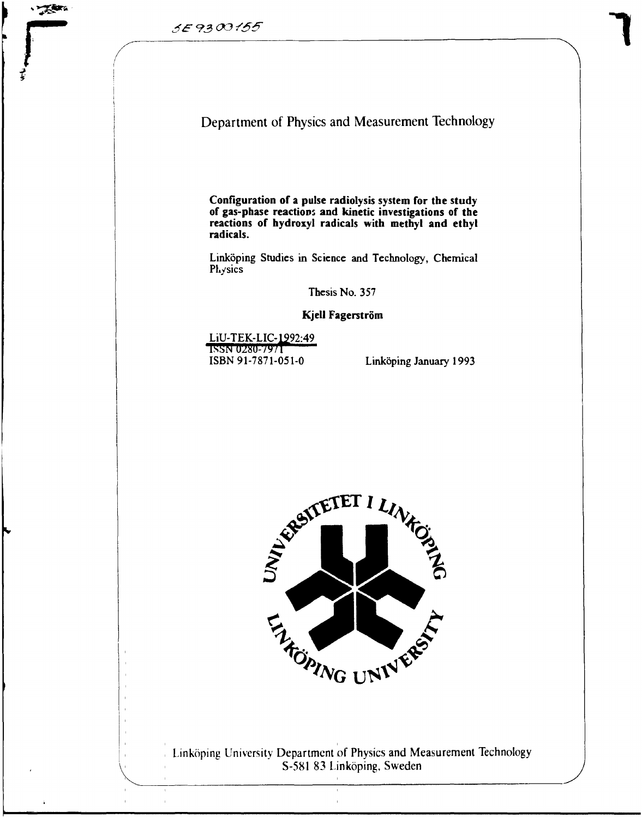**There** 



**Configuration of a pulse radiolysis system for the study of gas-phase reactions and kinetic investigations of the reactions of hydroxyl radicals with methyl and ethyl radicals.**

Linköping Studies in Science and Technology, Chemical Physics

Thesis No. 357

**Kjell Fagerström**

LiU-TEK-LIC-1992:49<br>ISSN 0280-7971 ISBN 91-7871-051-0 Linköping January 1993



Linköping University Department of Physics and Measurement Technology S-581 83 Linköping, Sweden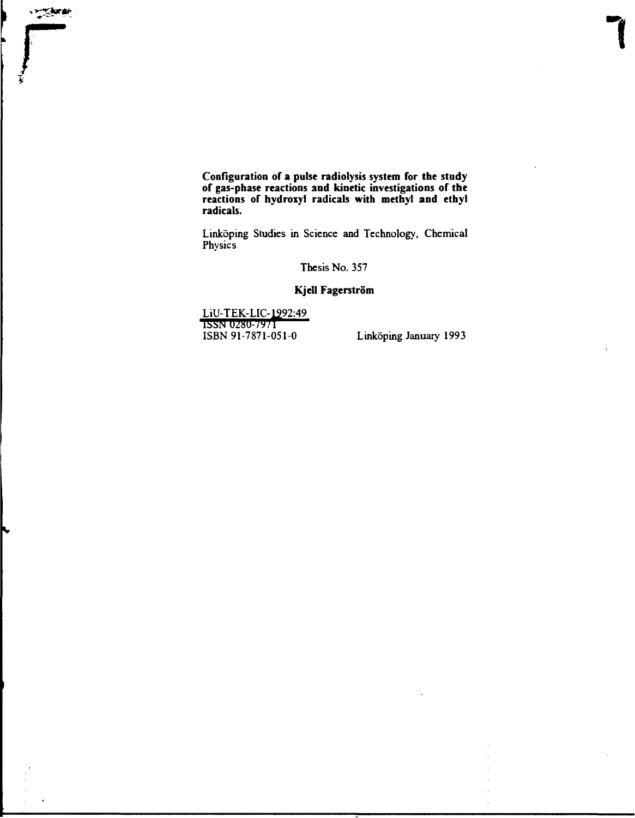**Configuration of a pulse radiolysis system for the study of gas-phase reactions and kinetic investigations of the reactions of hydroxyl radicals with methyl and ethyl radicals.**

Linköping Studies in Science and Technology, Chemical **Physics** 

Thesis No. 357

## **Kjell Fagerström**

**LiU-TEK-LIC-lg92:49 <sup>&</sup>lt;T55TTTJ25u-/y/i** ISBN 91-7871-051-0 Linköping January 1993

**r** 

P

÷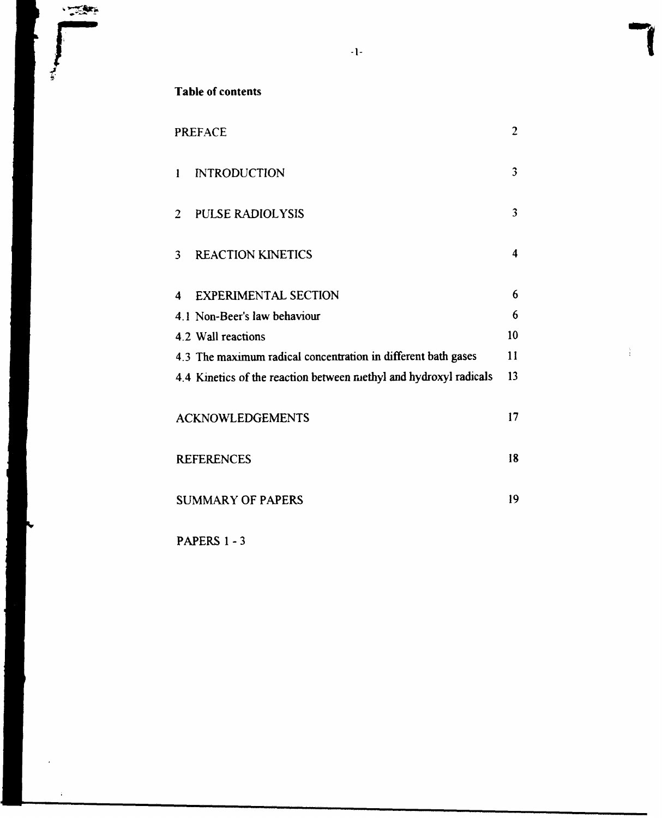j.

# Table of contents

| <b>PREFACE</b>                                                    | $\overline{2}$ |
|-------------------------------------------------------------------|----------------|
| <b>INTRODUCTION</b><br>$\mathbf{l}$                               | 3              |
| <b>PULSE RADIOLYSIS</b><br>$\overline{2}$                         | 3              |
| <b>REACTION KINETICS</b><br>3                                     | 4              |
| <b>EXPERIMENTAL SECTION</b><br>4                                  | 6              |
| 4.1 Non-Beer's law behaviour                                      | 6              |
| 4.2 Wall reactions                                                | 10             |
| 4.3 The maximum radical concentration in different bath gases     | 11             |
| 4.4 Kinetics of the reaction between methyl and hydroxyl radicals | 13             |
| <b>ACKNOWLEDGEMENTS</b>                                           | 17             |
| <b>REFERENCES</b>                                                 | 18             |
| <b>SUMMARY OF PAPERS</b>                                          | 19             |

 $\frac{1}{4}$ 

 $-1-$ 

PAPERS 1 - 3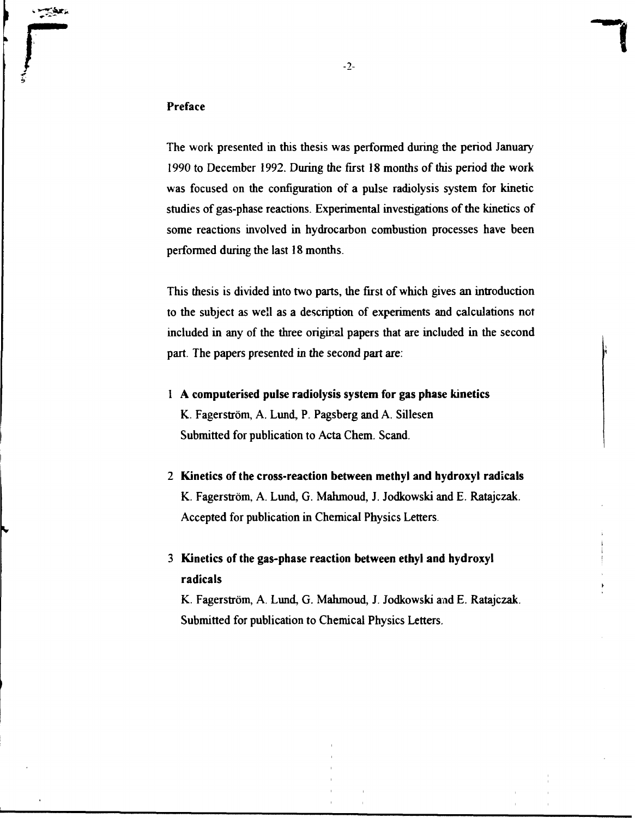#### **Preface**

**r** 

The work presented in this thesis was performed during the period January 1990 to December 1992. During the first 18 months of this period the work was focused on the configuration of a pulse radiolysis system for kinetic studies of gas-phase reactions. Experimental investigations of the kinetics of some reactions involved in hydrocarbon combustion processes have been performed during the last 18 months.

This thesis is divided into two parts, the first of which gives an introduction to the subject as well as a description of experiments and calculations not included in any of the three original papers that are included in the second part. The papers presented in the second part are:

- 1 **A computerised pulse radiolysis system for gas phase kinetics** K. Fagerström, A. Lund, P. Pagsberg and A. Sillesen Submitted for publication to Acta Chem. Scand.
- 2 **Kinetics of the cross-reaction between methyl and hydroxyl radicals** K. Fagerström, A. Lund, G. Mahmoud, J. Jodkowski and E. Ratajczak. Accepted for publication in Chemical Physics Letters.
- 3 **Kinetics of the gas-phase reaction between ethyl and hydroxyl radicals**

K. Fagerström, A. Lund, G. Mahmoud, J. Jodkowski and E. Ratajczak. Submitted for publication to Chemical Physics Letters.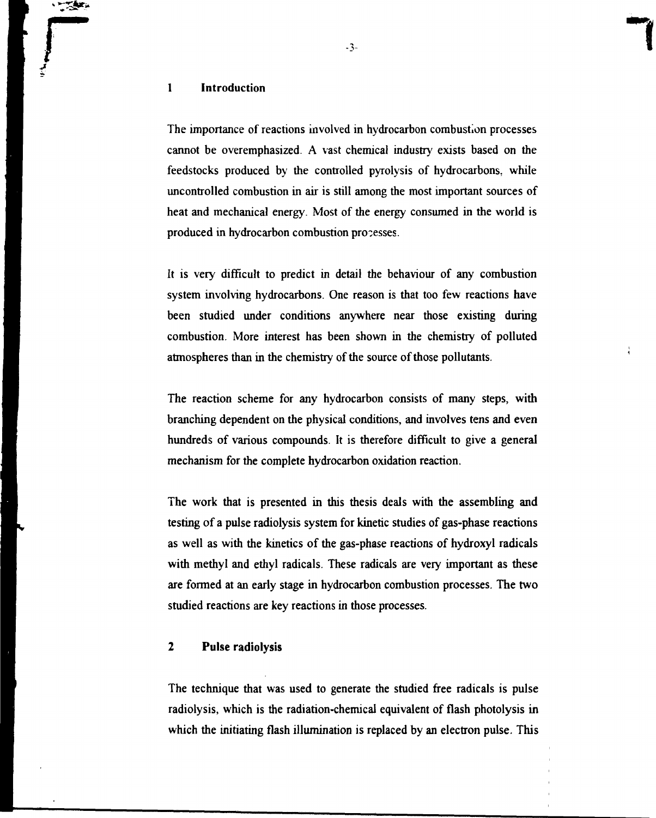# **r** -\_•> - 1 Introduction

The importance of reactions involved in hydrocarbon combustion processes cannot be overemphasized. A vast chemical industry exists based on the feedstocks produced by the controlled pyrolysis of hydrocarbons, while uncontrolled combustion in air is still among the most important sources of heat and mechanical energy. Most of the energy consumed in the world is produced in hydrocarbon combustion processes.

It is very difficult to predict in detail the behaviour of any combustion system involving hydrocarbons. One reason is that too few reactions have been studied under conditions anywhere near those existing during combustion. More interest has been shown in the chemistry of polluted atmospheres than in the chemistry of the source of those pollutants.

The reaction scheme for any hydrocarbon consists of many steps, with branching dependent on the physical conditions, and involves tens and even hundreds of various compounds. It is therefore difficult to give a general mechanism for the complete hydrocarbon oxidation reaction.

The work that is presented in this thesis deals with the assembling and testing of a pulse radiolysis system for kinetic studies of gas-phase reactions as well as with the kinetics of the gas-phase reactions of hydroxyl radicals with methyl and ethyl radicals. These radicals are very important as these are formed at an early stage in hydrocarbon combustion processes. The two studied reactions are key reactions in those processes.

# **2 Pulse radiolysis**

The technique that was used to generate the studied free radicals is pulse radiolysis, which is the radiation-chemical equivalent of flash photolysis in which the initiating flash illumination is replaced by an electron pulse. This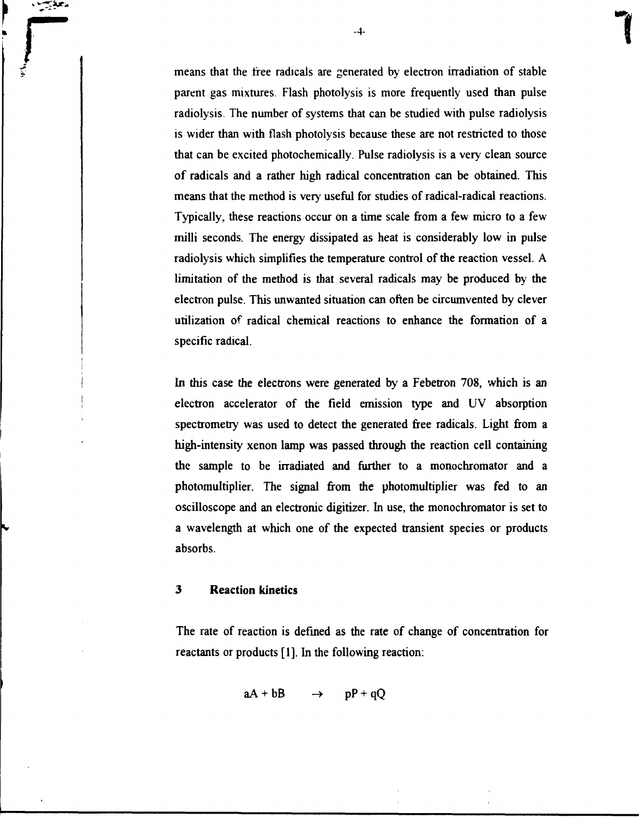means that the free radicals are generated by electron irradiation of stable parent gas mixtures. Flash photolysis is more frequently used than pulse radiolysis. The number of systems that can be studied with pulse radiolysis is wider than with flash photolysis because these are not restricted to those that can be excited photochemically. Pulse radiolysis is a very clean source of radicals and a rather high radical concentration can be obtained. This means that the method is very useful for studies of radical-radical reactions. Typically, these reactions occur on a time scale from a few micro to a few milli seconds. The energy dissipated as heat is considerably low in pulse radiolysis which simplifies the temperature control of the reaction vessel. A limitation of the method is that several radicals may be produced by the electron pulse. This unwanted situation can often be circumvented by clever utilization of radical chemical reactions to enhance the formation of a specific radical.

In this case the electrons were generated by a Febetron 708, which is an electron accelerator of the field emission type and UV absorption spectrometry was used to detect the generated free radicals. Light from a high-intensity xenon lamp was passed through the reaction cell containing the sample to be irradiated and further to a monochromator and a photomultiplier. The signal from the photomultiplier was fed to an oscilloscope and an electronic digitizer. In use, the monochromator is set to a wavelength at which one of the expected transient species or products absorbs.

# **3 Reaction kinetics**

**T** 

The rate of reaction is defined as the rate of change of concentration for reactants or products [1]. In the following reaction:

$$
aA + bB \qquad \rightarrow \qquad pP + qQ
$$

**-4-**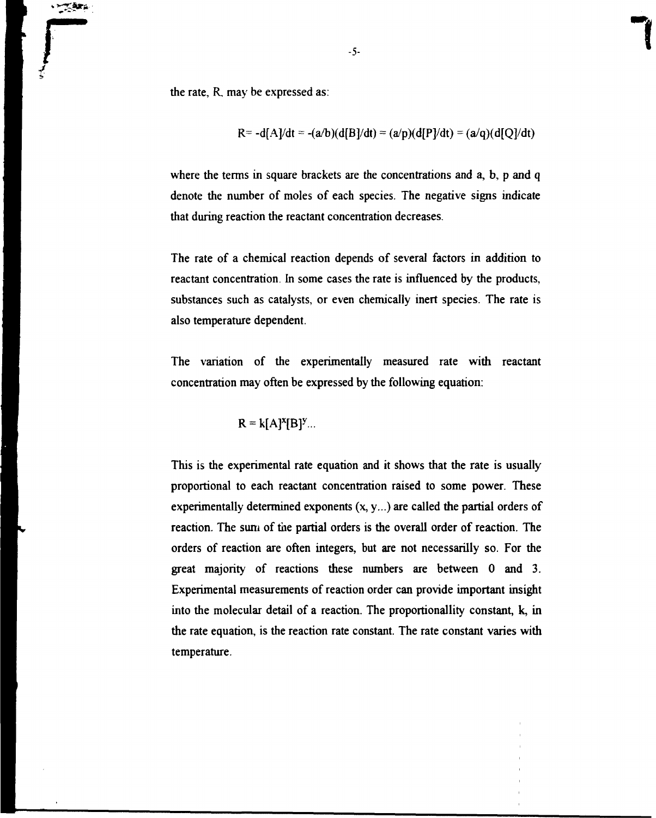**r r** *c -5-*<br>*c c c c c* the rate, R. may be expressed as:

$$
R = -d[A]/dt = -(a/b)(d[B]/dt) = (a/p)(d[P]/dt) = (a/q)(d[Q]/dt)
$$

where the terms in square brackets are the concentrations and a, b, p and q denote the number of moles of each species. The negative signs indicate that during reaction the reactant concentration decreases.

The rate of a chemical reaction depends of several factors in addition to reactant concentration. In some cases the rate is influenced by the products, substances such as catalysts, or even chemically inert species. The rate is also temperature dependent.

The variation of the experimentally measured rate with reactant concentration may often be expressed by the following equation:

$$
R = k[A]^x[B]^y...
$$

This is the experimental rate equation and it shows that the rate is usually proportional to each reactant concentration raised to some power. These experimentally determined exponents  $(x, y, ...)$  are called the partial orders of reaction. The sum of the partial orders is the overall order of reaction. The orders of reaction are often integers, but are not necessarilly so. For the great majority of reactions these numbers are between 0 and 3. Experimental measurements of reaction order can provide important insight into the molecular detail of a reaction. The proportionallity constant, k, in the rate equation, is the reaction rate constant. The rate constant varies with temperature.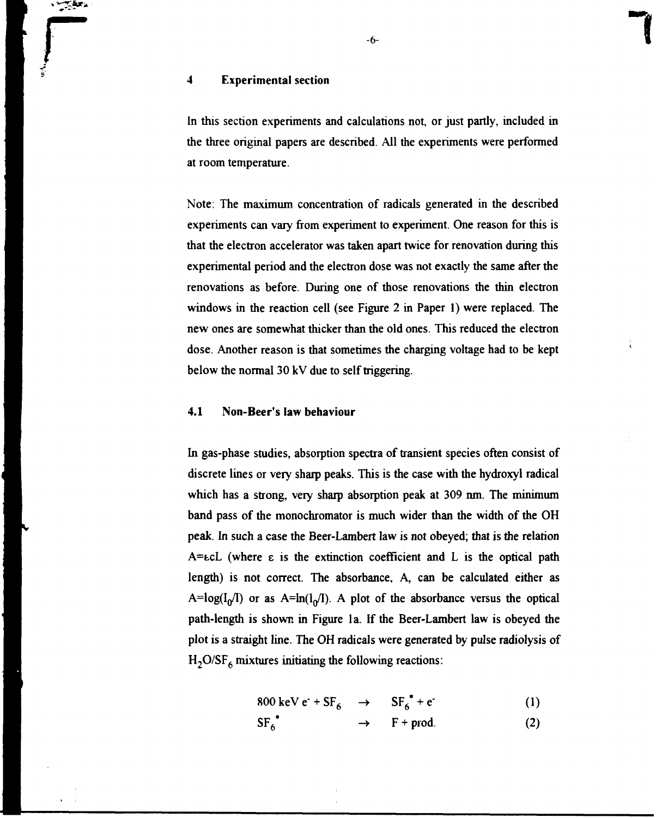# **r -6-** 4 Experimental section

In this section experiments and calculations not, or just partly, included in the three original papers are described. All the experiments were performed at room temperature.

Note: The maximum concentration of radicals generated in the described experiments can vary from experiment to experiment. One reason for this is that the electron accelerator was taken apart twice for renovation during this experimental period and the electron dose was not exactly the same after the renovations as before. During one of those renovations the thin electron windows in the reaction cell (see Figure 2 in Paper 1) were replaced. The new ones are somewhat thicker than the old ones. This reduced the electron dose. Another reason is that sometimes the charging voltage had to be kept below the normal 30 kV due to self triggering.

#### 4.1 Non-Beer's law behaviour

In gas-phase studies, absorption spectra of transient species often consist of discrete lines or very sharp peaks. This is the case with the hydroxyl radical which has a strong, very sharp absorption peak at 309 nm. The minimum band pass of the monochromator is much wider than the width of the OH peak. In such a case the Beer-Lambert law is not obeyed; that is the relation  $A = \mathcal{K}$  (where  $\epsilon$  is the extinction coefficient and L is the optical path length) is not correct. The absorbance. A, can be calculated either as A=log( $I_0/I$ ) or as A=ln( $I_0/I$ ). A plot of the absorbance versus the optical path-length is shown in Figure la. If the Beer-Lambert law is obeyed the plot is a straight line. The OH radicals were generated by pulse radiolysis of  $H_2O/SF_6$  mixtures initiating the following reactions:

$$
800 \text{ keV } e^- + \text{SF}_6 \rightarrow \text{SF}_6^* + e^-(1)
$$

$$
SF_6^* \longrightarrow F + \text{prod.} \tag{2}
$$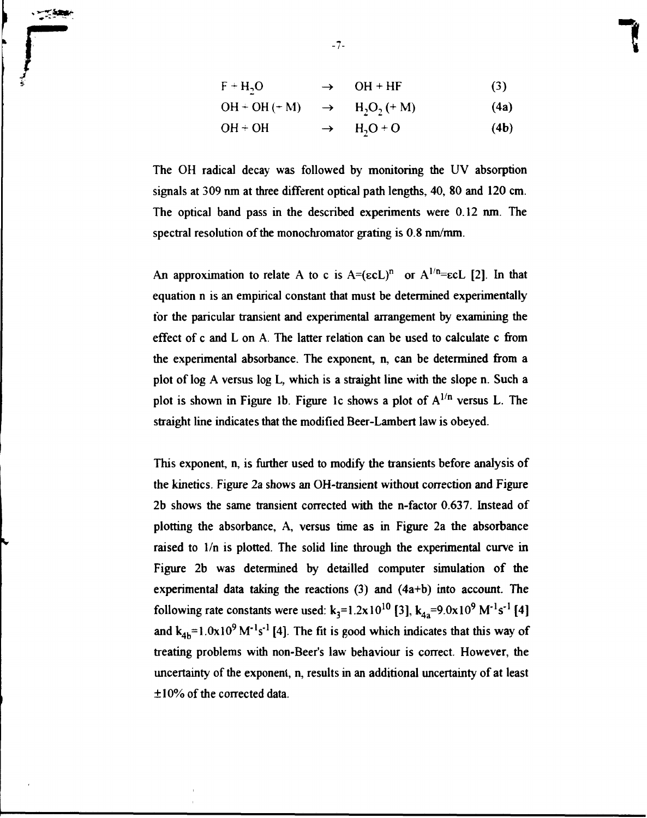$$
F + H_2O \qquad \longrightarrow \qquad OH + HF \tag{3}
$$

$$
\mathrm{OH} + \mathrm{OH} \, (+ \, \mathrm{M}) \quad \rightarrow \quad \mathrm{H}_2\mathrm{O}_2 \, (+ \, \mathrm{M}) \tag{4a}
$$

**OH + OH - •**  $H_2O + O$ **(4b)**

The OH radical decay was followed by monitoring the UV absorption signals at 309 nm at three different optical path lengths, 40, 80 and 120 cm. The optical band pass in the described experiments were 0.12 nm. The spectral resolution of the monochromator grating is  $0.8 \text{ nm/mm}$ .

An approximation to relate A to c is  $A=(\epsilon cL)^n$  or  $A^{1/n}=\epsilon cL$  [2]. In that equation n is an empirical constant that must be determined experimentally for the paricular transient and experimental arrangement by examining the effect of c and L on A. The latter relation can be used to calculate c from the experimental absorbance. The exponent, n, can be determined from a plot of log A versus log L, which is a straight line with the slope n. Such a plot is shown in Figure 1b. Figure 1c shows a plot of  $A^{1/n}$  versus L. The straight line indicates that the modified Beer-Lambert law is obeyed.

This exponent, n, is further used to modify the transients before analysis of the kinetics. Figure 2a shows an OH-transient without correction and Figure 2b shows the same transient corrected with the n-factor 0.637. Instead of plotting the absorbance, A, versus time as in Figure 2a the absorbance raised to l/n is plotted. The solid line through the experimental curve in Figure 2b was determined by detailled computer simulation of the experimental data taking the reactions (3) and (4a+b) into account. The following rate constants were used:  $k_3=1.2x10^{10}$  [3],  $k_{4a}=9.0x10^9$  M<sup>-1</sup>s<sup>-1</sup> [4] and  $k_{4b} = 1.0x10^{9} M^{-1}s^{-1}$  [4]. The fit is good which indicates that this way of treating problems with non-Beer's law behaviour is correct. However, the uncertainty of the exponent, n, results in an additional uncertainty of at least ±10% of the corrected data.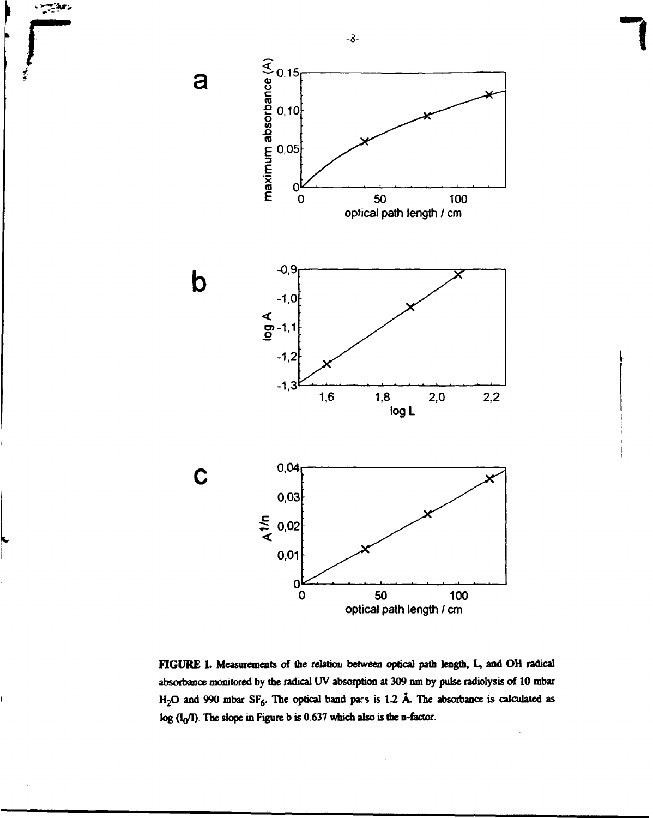

**r** 

**FIGURE 1. Measurements of the relation between optical path length, L, and OH radical absorbance monitored by the radical UV absorption at 309 run by pulse radiolysis of 10 mbar H2O and 990 mbar SF6. The optical band pars is 1.2 A. The absorbance is calculated as log (VI). The slope in Figure b is 0.637 which also is the n-fector.**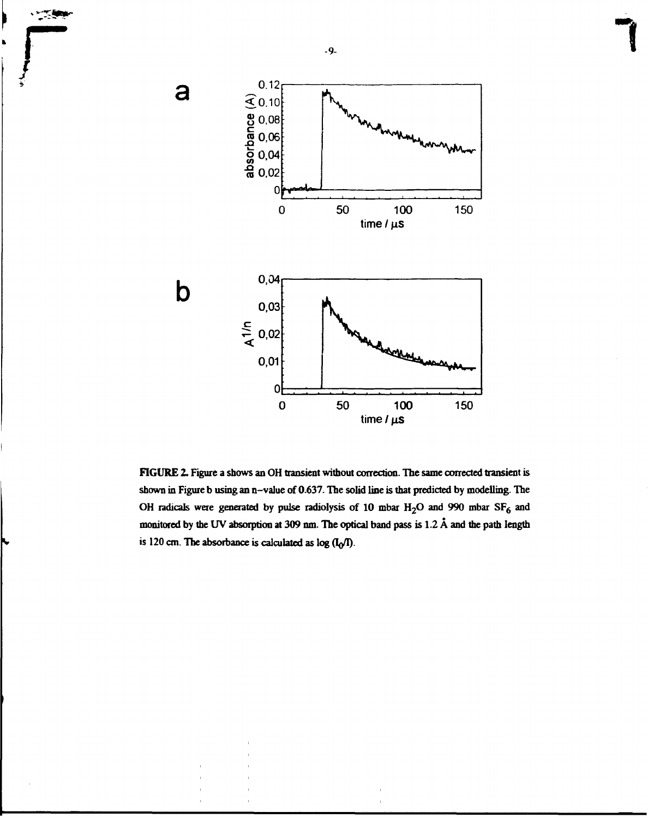

**FIGURE 2, Figure a shows an OH transient without correction. The same corrected transient is shown in Figure b using an n-value of 0.637. The solid line is that predicted by modelling. The OH radicals were generated by pulse radiolysis of 10 mbar H2O and 990 mbar SF6 and monitored by the UV absorption at 309 nm. The optical band pass is 1.2 A and the path length** is 120 cm. The absorbance is calculated as  $log$   $(I_0/I)$ .

**-9-**

 $\sim$ 

**T**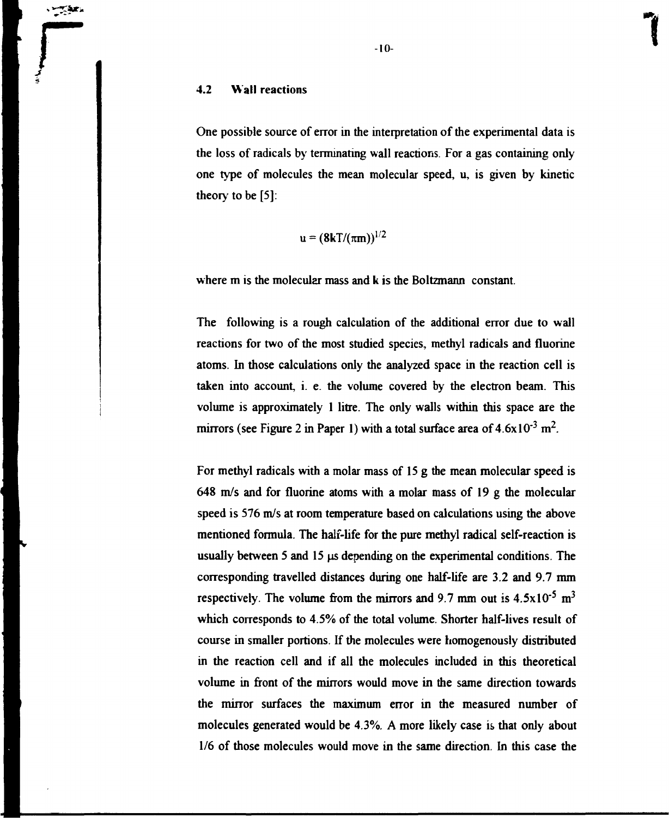## **4.2 Wall reactions**

 $-$ 

One possible source of error in the interpretation of the experimental data is the loss of radicals by terminating wall reactions. For a gas containing only one type of molecules the mean molecular speed, u, is given by kinetic theory to be [5]:

$$
\mathbf{u} = (8\mathbf{k}T/(\pi\mathbf{m}))^{1/2}
$$

where m is the molecular mass and k is the Boltzmann constant.

The following is a rough calculation of the additional error due to wall reactions for two of the most studied species, methyl radicals and fluorine atoms. In those calculations only the analyzed space in the reaction cell is taken into account, i. e. the volume covered by the electron beam. This volume is approximately 1 litre. The only walls within this space are the mirrors (see Figure 2 in Paper 1) with a total surface area of  $4.6x10^{-3}$  m<sup>2</sup>.

For methyl radicals with a molar mass of 15 g the mean molecular speed is 648 m/s and for fluorine atoms with a molar mass of 19 g the molecular speed is 576 m/s at room temperature based on calculations using the above mentioned formula. The half-life for the pure methyl radical self-reaction is usually between 5 and 15 us depending on the experimental conditions. The corresponding travelled distances during one half-life are 3.2 and 9.7 mm respectively. The volume from the mirrors and 9.7 mm out is  $4.5 \times 10^{-5}$  m<sup>3</sup> which corresponds to 4.5% of the total volume. Shorter half-lives result of course in smaller portions. If the molecules were homogenously distributed in the reaction cell and if all the molecules included in this theoretical volume in front of the minors would move in the same direction towards the mirror surfaces the maximum error in the measured number of molecules generated would be 4.3%. A more likely case is that only about 1/6 of those molecules would move in the same direction. In this case the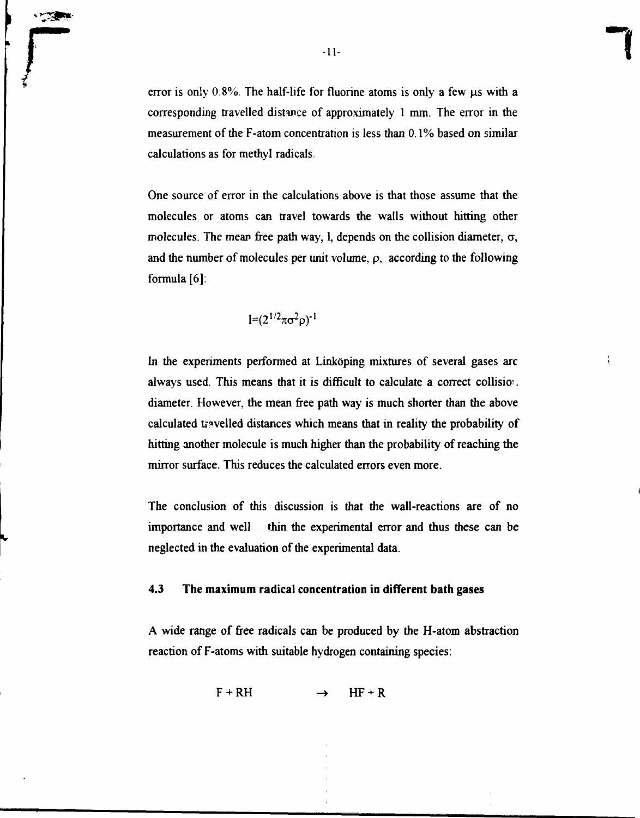error is only  $0.8\%$ . The half-life for fluorine atoms is only a few  $\mu$ s with a corresponding travelled distance of approximately 1 mm. The error in the measurement of the F-atom concentration is less than 0.1% based on similar calculations as for methyl radicals.

One source of error in the calculations above is that those assume that the molecules or atoms can travel towards the walls without hitting other molecules. The mean free path way, l, depends on the collision diameter,  $\sigma$ , and the number of molecules per unit volume,  $\rho$ , according to the following formula [6]:

$$
l = (2^{1/2}\pi\sigma^2\rho)^{-1}
$$

In the experiments performed at Linköping mixtures of several gases are always used. This means that it is difficult to calculate a correct collision. diameter. However, the mean free path way is much shorter than the above calculated travelled distances which means that in reality the probability of hitting another molecule is much higher than the probability of reaching the mirror surface. This reduces the calculated errors even more.

The conclusion of this discussion is that the wall-reactions are of no importance and well thin the experimental error and thus these can be neglected in the evaluation of the experimental data.

# **4.3 The maximum radical concentration in different bath** gases

A wide range of free radicals can be produced by the H-atom abstraction reaction of F-atoms with suitable hydrogen containing species:

 $F + RH$   $\rightarrow$  HF + R

**-11-**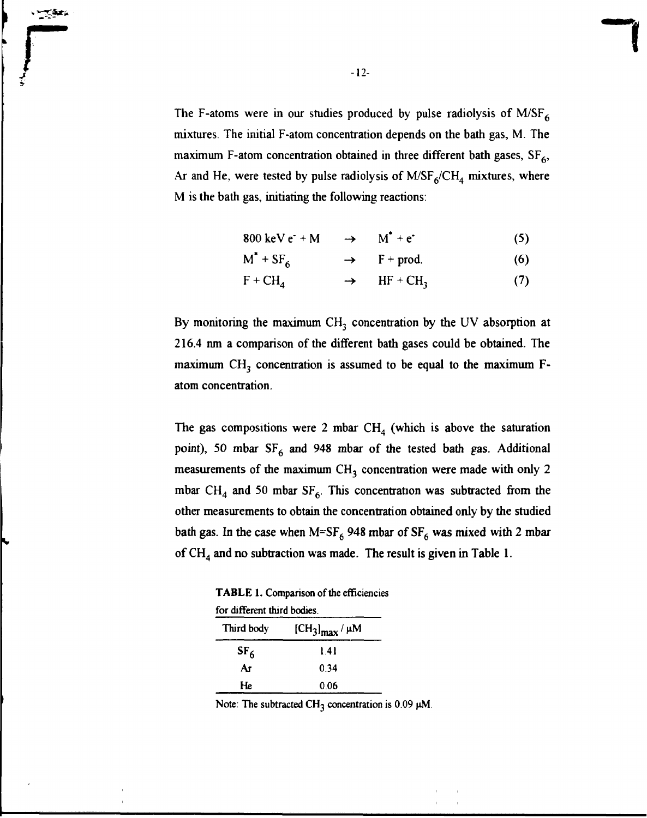The F-atoms were in our studies produced by pulse radiolysis of M/SF $_6$ mixtures. The initial F-atom concentration depends on the bath gas, M. The maximum F-atom concentration obtained in three different bath gases,  $SF<sub>6</sub>$ , Ar and He, were tested by pulse radiolysis of  $M/SF_6/CH_4$  mixtures, where M is the bath gas, initiating the following reactions:

$$
800 \text{ keV e} + M \qquad \rightarrow \qquad M^* + e^* \tag{5}
$$

$$
M^* + SF_6 \longrightarrow F + prod. \tag{6}
$$

$$
F + CH_4 \longrightarrow HF + CH_3 \tag{7}
$$

By monitoring the maximum  $CH_3$  concentration by the UV absorption at 216.4 nm a comparison of the different bath gases could be obtained. The maximum  $CH<sub>3</sub>$  concentration is assumed to be equal to the maximum  $F$ atom concentration.

The gas compositions were 2 mbar  $CH<sub>4</sub>$  (which is above the saturation point), 50 mbar  $SF_6$  and 948 mbar of the tested bath gas. Additional measurements of the maximum  $CH<sub>3</sub>$  concentration were made with only 2 mbar CH<sub>4</sub> and 50 mbar SF<sub>6</sub>. This concentration was subtracted from the other measurements to obtain the concentration obtained only by the studied bath gas. In the case when  $M=SF_6$  948 mbar of  $SF_6$  was mixed with 2 mbar of  $CH<sub>4</sub>$  and no subtraction was made. The result is given in Table 1.

TABLE 1. Comparison of the efficiencies

| for different third bodies. |                                                     |  |  |  |
|-----------------------------|-----------------------------------------------------|--|--|--|
| Third body                  | $\left[\text{CH}_3\right]_{\text{max}}/\mu\text{M}$ |  |  |  |
| SF <sub>6</sub>             | 141                                                 |  |  |  |
| Ar                          | 0.34                                                |  |  |  |
| He                          | 0.06                                                |  |  |  |

Note: The subtracted CH<sub>3</sub> concentration is  $0.09 \mu M$ .

-12-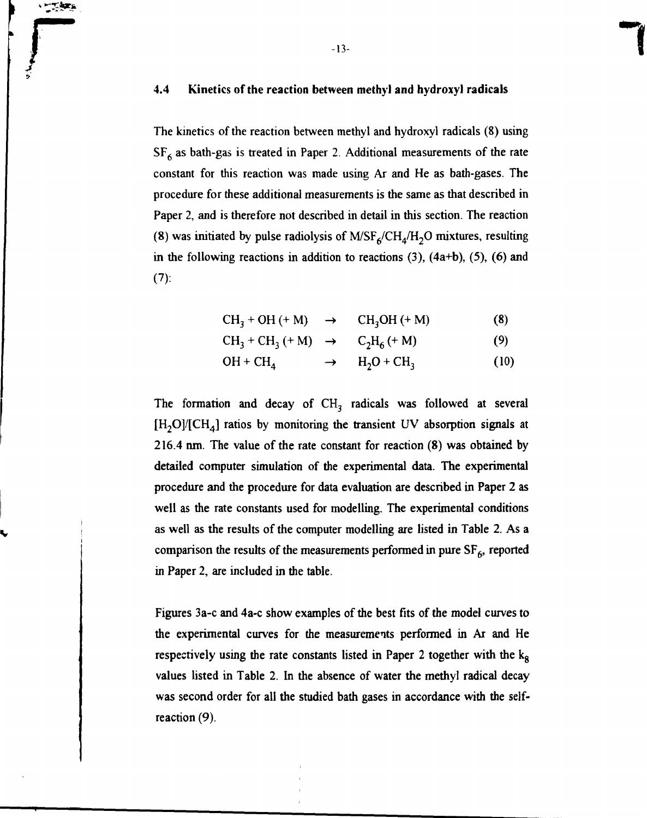# **r -13-** 4.4 Kinetics of the reaction between methyl and hydroxyl radicals

The kinetics of the reaction between methyl and hydroxyl radicals (8) using  $SF<sub>6</sub>$  as bath-gas is treated in Paper 2. Additional measurements of the rate constant for this reaction was made using Ar and He as bath-gases. The procedure for these additional measurements is the same as that described in Paper 2, and is therefore not described in detail in this section. The reaction (8) was initiated by pulse radiolysis of  $M/SE_6/CH_4/H_2O$  mixtures, resulting in the following reactions in addition to reactions  $(3)$ ,  $(4a+b)$ ,  $(5)$ ,  $(6)$  and  $(7)$ :

$$
CH_3 + OH (+ M) \rightarrow CH_3OH (+ M)
$$
 (8)

$$
CH_3 + CH_3 (+ M) \rightarrow C_2H_6 (+ M) \tag{9}
$$

$$
OH + CH_4 \longrightarrow H_2O + CH_3 \tag{10}
$$

The formation and decay of  $CH<sub>3</sub>$  radicals was followed at several  $[H_2O]/[CH_4]$  ratios by monitoring the transient UV absorption signals at 216.4 nm. The value of the rate constant for reaction (8) was obtained by detailed computer simulation of the experimental data. The experimental procedure and the procedure for data evaluation are described in Paper 2 as well as the rate constants used for modelling. The experimental conditions as well as the results of the computer modelling are listed in Table 2. As a comparison the results of the measurements performed in pure  $SF<sub>6</sub>$ , reported in Paper 2, are included in the table.

Figures 3a-c and 4a-c show examples of the best fits of the model curves to the experimental curves for the measurements performed in Ar and He respectively using the rate constants listed in Paper 2 together with the  $k_8$ values listed in Table 2. In the absence of water the methyl radical decay was second order for all the studied bath gases in accordance with the selfreaction (9).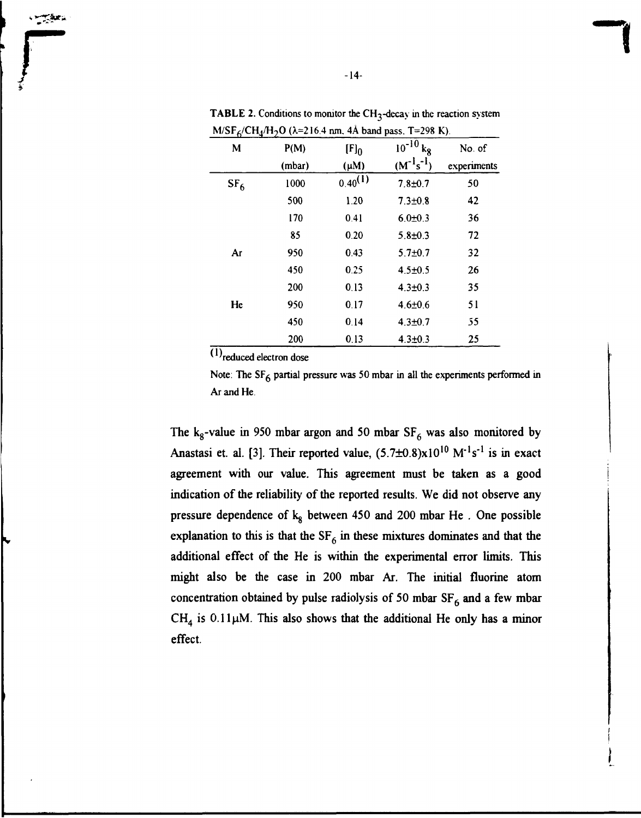| o<br>$\mathbf M$ | P(M)   | $[F]_0$      | $10^{-10}$<br>kg | No. of      |
|------------------|--------|--------------|------------------|-------------|
|                  | (mbar) | $(\mu M)$    | $(M^{-1}s^{-1})$ | experiments |
| SF <sub>6</sub>  | 1000   | $0.40^{(1)}$ | $7.8 + 0.7$      | 50          |
|                  | 500    | 1.20         | $7.3 + 0.8$      | 42          |
|                  | 170    | 0.41         | $6.0 \pm 0.3$    | 36          |
|                  | 85     | 0.20         | $5.8 + 0.3$      | 72          |
| Ar               | 950    | 0.43         | $5.7 + 0.7$      | 32          |
|                  | 450    | 0.25         | $4.5 \pm 0.5$    | 26          |
|                  | 200    | 0.13         | $4.3 + 0.3$      | 35          |
| He               | 950    | 0.17         | $4.6 \pm 0.6$    | 51          |
|                  | 450    | 0.14         | $4.3 + 0.7$      | 55          |
|                  | 200    | 0.13         | $4.3 \pm 0.3$    | 25          |

**TABLE 2.** Conditions to monitor the CH<sub>3</sub>-decay in the reaction system  $M/SF<sub>6</sub>/CH<sub>4</sub>/H<sub>2</sub>O$  ( $\lambda=216.4$  nm, 4Å band pass. T=298 K).

 $(1)$ <sub>reduced electron dose</sub>

Note: The  $SF<sub>6</sub>$  partial pressure was 50 mbar in all the experiments performed in Ar and He.

The k<sub>g</sub>-value in 950 mbar argon and 50 mbar  $SF_6$  was also monitored by Anastasi et. al. [3]. Their reported value,  $(5.7\pm0.8)x10^{10}$  M<sup>-1</sup>s<sup>-1</sup> is in exact agreement with our value. This agreement must be taken as a good indication of the reliability of the reported results. We did not observe any pressure dependence of  $k_8$  between 450 and 200 mbar He. One possible explanation to this is that the  $SF_6$  in these mixtures dominates and that the additional effect of the He is within the experimental error limits. This might also be the case in 200 mbar Ar. The initial fluorine atom concentration obtained by pulse radiolysis of 50 mbar  $SF<sub>6</sub>$  and a few mbar  $CH<sub>4</sub>$  is 0.11 $\mu$ M. This also shows that the additional He only has a minor effect.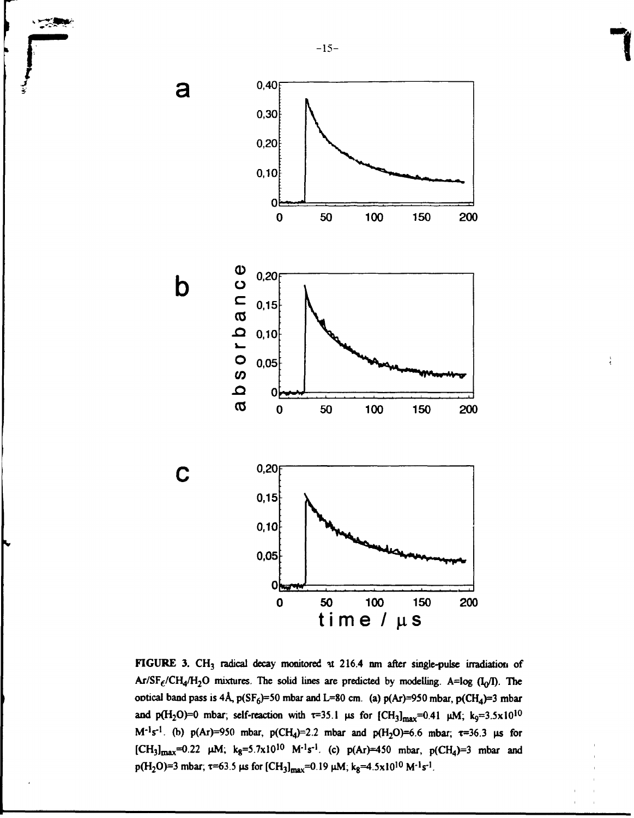

**r** 

a

 $\mathbf b$ 

C



**FIGURE 3. CH3 radical decay monitored it 216.4 nm after single-pulse irradiation of**  $Ar/SF_f/CH_4/H_2O$  mixtures. The solid lines are predicted by modelling. A=log  $(I_0/I)$ . The **ootical band pass is 4Å,**  $p(SF_6) = 50$  **mbar and L=80 cm. (a)**  $p(Ar) = 950$  **mbar,**  $p(CH_4) = 3$  **mbar and**  $p(H_2O)=0$  mbar; self-reaction with  $\tau=35.1$  µs for  $[CH_3]_{max}=0.41$  µM; k<sub>9</sub>=3.5x10<sup>10</sup> **M<sup>-1</sup>s<sup>-1</sup>. (b)**  $p(Ar) = 950$  mbar,  $p(CH_4) = 2.2$  mbar and  $p(H_2O) = 6.6$  mbar;  $\tau = 36.3$   $\mu$ s for  $[CH_3]_{\text{max}} = 0.22$   $\mu\text{M}$ ; k<sub>8</sub>=5.7x10<sup>10</sup> M<sup>-1</sup>s<sup>-1</sup>. (c) p(Ar)=450 mbar, p(CH<sub>4</sub>)=3 mbar and **p**(H<sub>2</sub>O)=3 mbar;  $\tau$ =63.5 µs for [CH<sub>3</sub>]<sub>max</sub>=0.19 µM; k<sub>8</sub>=4.5x10<sup>10</sup> M<sup>-1</sup>s<sup>-1</sup>.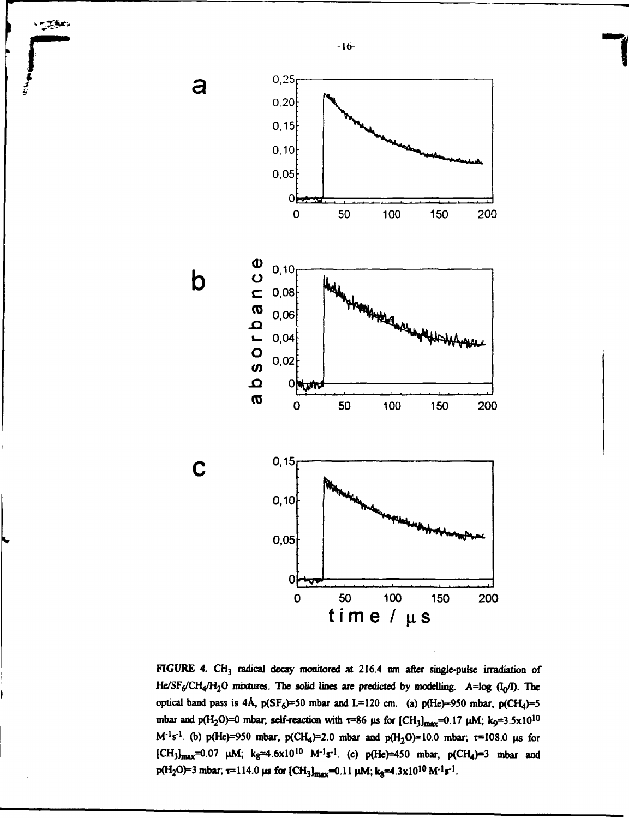

**TAX.** 

**FIGURE 4. CH3 radical decay monitored at 216.4 nm after single-pulse irradiation of**  $He/SF<sub>6</sub>/CH<sub>4</sub>/H<sub>2</sub>O$  mixtures. The solid lines are predicted by modelling. A=log (I<sub>0</sub>/I). The optical band pass is 4Å,  $p(SF_6) = 50$  mbar and L=120 cm. (a)  $p(He) = 950$  mbar,  $p(CH_4) = 5$ mbar and  $p(H_2O)=0$  mbar; self-reaction with  $\tau=86$  µs for  $[CH_3]_{\text{max}}=0.17$  µM; k<sub>9</sub>=3.5x10<sup>10</sup> **M<sup>-1</sup>s<sup>-1</sup>. (b) p(He)=950 mbar, p(CH<sub>4</sub>)=2.0 mbar and p(H<sub>2</sub>O)=10.0 mbar,**  $\tau$ **=108.0 µs for l**CH<sub>3</sub>]<sub>max</sub>=0.07 μM; k<sub>8</sub>≈4.6x10<sup>10</sup> M<sup>-1</sup>s<sup>-1</sup>. (c) p(He)=450 mbar, p(CH<sub>4</sub>)=3 mbar and  $p(H_2O) = 3$  mbar,  $\tau = 114.0$   $\mu$ s for  $\left[CH_3\right]_{\text{max}} = 0.11$   $\mu$ M; k<sub>8</sub> $\equiv 4.3 \times 10^{10}$  M<sup>-1</sup>s<sup>-1</sup>.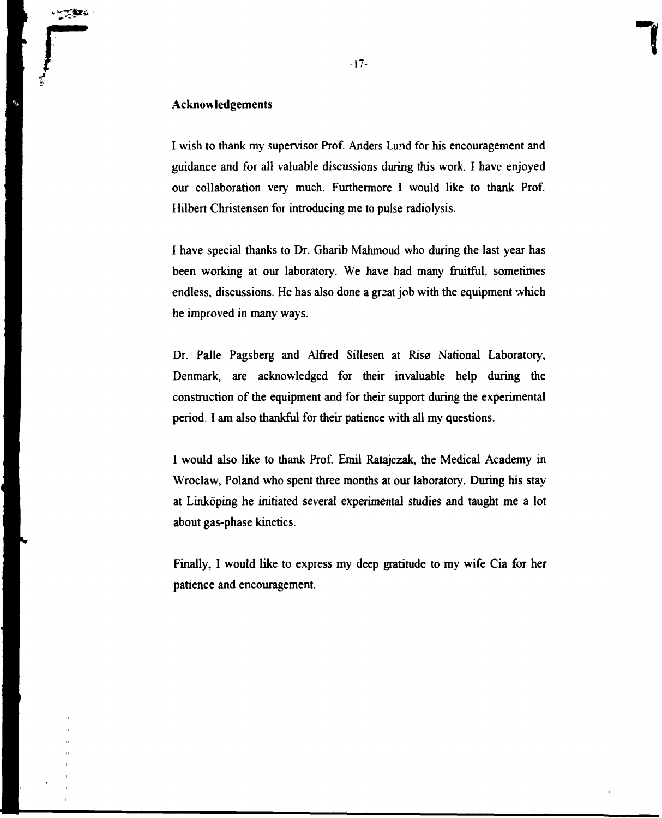### **Acknowledgements**

I wish to thank my supervisor Prof. Anders Lund for his encouragement and guidance and for all valuable discussions during this work. I have enjoyed our collaboration very much. Furthermore I would like to thank Prof. Hilbert Christensen for introducing me to pulse radiolysis.

I have special thanks to Dr. Gharib Mahmoud who during the last year has been working at our laboratory. We have had many fruitful, sometimes endless, discussions. He has also done a great job with the equipment which he improved in many ways.

Dr. Palle Pagsberg and Alfred Sillesen at Risø National Laboratory, Denmark, are acknowledged for their invaluable help during the construction of the equipment and for their support during the experimental period. I am also thankful for their patience with all my questions.

I would also like to thank Prof. Emil Ratajczak, the Medical Academy in Wroclaw, Poland who spent three months at our laboratory. During his stay at Linköping he initiated several experimental studies and taught me a lot about gas-phase kinetics.

Finally, I would like to express my deep gratitude to my wife Cia for her patience and encouragement.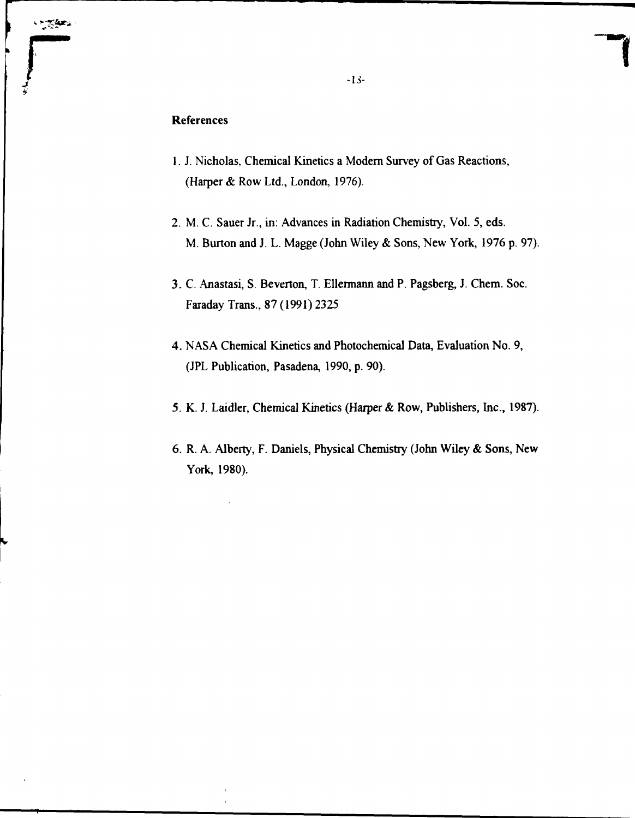## References

- 1. J. Nicholas, Chemical Kinetics a Modern Survey of Gas Reactions, (Harper & Row Ltd., London, 1976).
- 2. M. C. Sauer Jr., in: Advances in Radiation Chemistry, Vol. 5, eds. M. Burton and J. L. Magge (John Wiley & Sons, New York, 1976 p. 97).
- 3. C. Anastasi, S. Beverton, T. Ellermann and P. Pagsberg, J. Chem. Soc. Faraday Trans., 87 (1991) 2325
- 4. NASA Chemical Kinetics and Photochemical Data, Evaluation No. 9, (JPL Publication, Pasadena, 1990, p. 90).
- 5. K. J. Laidler, Chemical Kinetics (Harper & Row, Publishers, Inc., 1987).
- 6. R. A. Alberty, F. Daniels, Physical Chemistry (John Wiley & Sons, New York, 1980).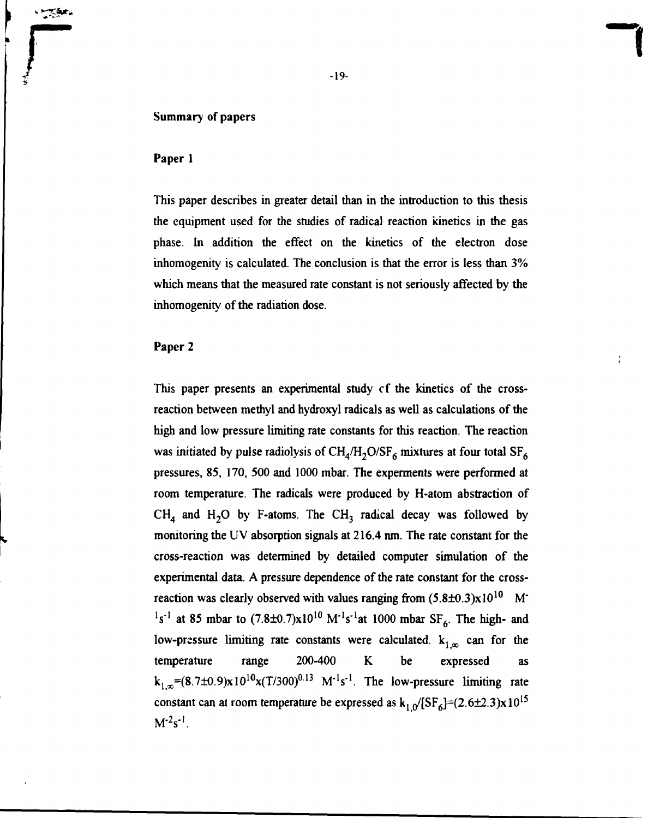#### Summary of papers

#### Paper 1

*<u><i><u>VESTA</u>*</u>

This paper describes in greater detail than in the introduction to this thesis the equipment used for the studies of radical reaction kinetics in the gas phase. In addition the effect on the kinetics of the electron dose inhomogenity is calculated. The conclusion is that the error is less than 3% which means that the measured rate constant is not seriously affected by the inhomogenity of the radiation dose.

#### Paper 2

This paper presents an experimental study cf the kinetics of the crossreaction between methyl and hydroxyl radicals as well as calculations of the high and low pressure limiting rate constants for this reaction. The reaction was initiated by pulse radiolysis of  $CH_4/H_2O/SF_6$  mixtures at four total  $SF_6$ pressures, 85, 170, 500 and 1000 mbar. The experments were performed at room temperature. The radicals were produced by H-atom abstraction of  $CH<sub>4</sub>$  and H<sub>2</sub>O by F-atoms. The CH<sub>3</sub> radical decay was followed by monitoring the UV absorption signals at 216.4 nm. The rate constant for the cross-reaction was determined by detailed computer simulation of the experimental data. A pressure dependence of the rate constant for the crossreaction was clearly observed with values ranging from  $(5.8\pm0.3)x10^{10}$  M<sup>-</sup> <sup>1</sup>s<sup>-1</sup> at 85 mbar to  $(7.8\pm0.7)x10^{10}$  M<sup>-1</sup>s<sup>-1</sup>at 1000 mbar SF<sub>6</sub>. The high- and low-pressure limiting rate constants were calculated.  $k_{1,\infty}$  can for the temperature range 200-400 K be expressed as  $k_1 = (8.7 \pm 0.9) \times 10^{10} \times (T/300)^{0.13}$  M<sup>-1</sup>s<sup>-1</sup>. The low-pressure limiting rate constant can at room temperature be expressed as  $k_{1,0}$ /[SF<sub>6</sub>]=(2.6±2.3)x10<sup>15</sup>  $M^2s^{-1}$ .